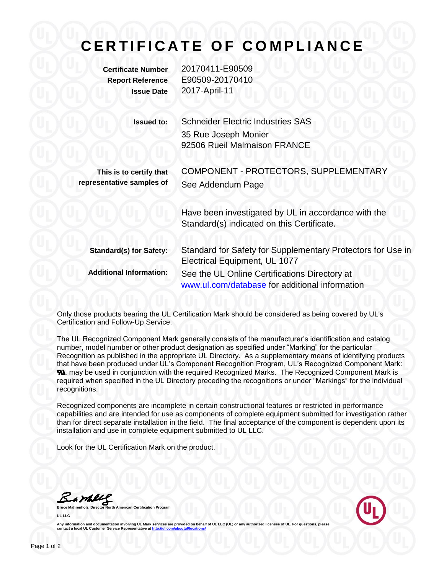## **CERTIFICATE OF COMPLIANCE**

**Certificate Number** 20170411-E90509 **Report Reference** E90509-20170410 **Issue Date** 2017-April-11

| <b>Issued to:</b>                                    | <b>Schneider Electric Industries SAS</b><br>35 Rue Joseph Monier<br>92506 Rueil Malmaison FRANCE  |
|------------------------------------------------------|---------------------------------------------------------------------------------------------------|
| This is to certify that<br>representative samples of | COMPONENT - PROTECTORS, SUPPLEMENTARY<br>See Addendum Page                                        |
|                                                      | Have been investigated by UL in accordance with the<br>Standard(s) indicated on this Certificate. |
| <b>Standard(s) for Safety:</b>                       | Standard for Safety for Supplementary Protectors for Use in<br>Electrical Equipment, UL 1077      |
| <b>Additional Information:</b>                       | See the UL Online Certifications Directory at<br>www.ul.com/database for additional information   |
|                                                      |                                                                                                   |

Only those products bearing the UL Certification Mark should be considered as being covered by UL's Certification and Follow-Up Service.

The UL Recognized Component Mark generally consists of the manufacturer's identification and catalog number, model number or other product designation as specified under "Marking" for the particular Recognition as published in the appropriate UL Directory. As a supplementary means of identifying products that have been produced under UL's Component Recognition Program, UL's Recognized Component Mark: **N**, may be used in conjunction with the required Recognized Marks. The Recognized Component Mark is required when specified in the UL Directory preceding the recognitions or under "Markings" for the individual recognitions.

Recognized components are incomplete in certain constructional features or restricted in performance capabilities and are intended for use as components of complete equipment submitted for investigation rather than for direct separate installation in the field. The final acceptance of the component is dependent upon its installation and use in complete equipment submitted to UL LLC.

Look for the UL Certification Mark on the product.

Barkey

**Bruce Mahrenholz, Director North American Certification Program UL LLC**



Any information and documentation involving UL Mark services are provided on behalf of UL LLC (UL) or any authorized licensee of UL. For questions, please<br>contact a local UL Customer Service Representative at <u>http://ul.co</u>